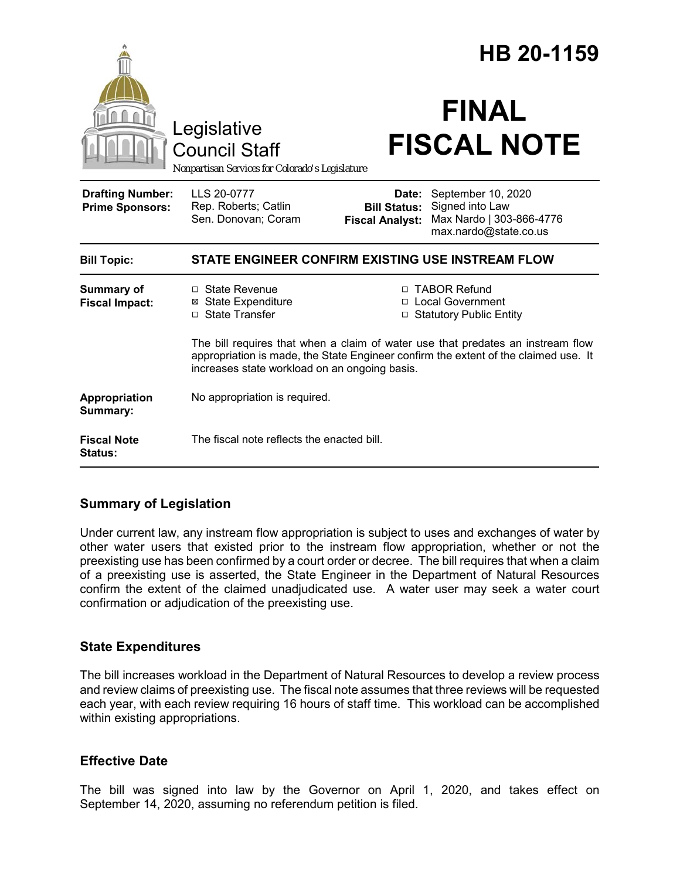|                                                   | Legislative<br><b>Council Staff</b><br>Nonpartisan Services for Colorado's Legislature                                                                                                                                  |                                                                        | HB 20-1159<br><b>FINAL</b><br><b>FISCAL NOTE</b>                                           |
|---------------------------------------------------|-------------------------------------------------------------------------------------------------------------------------------------------------------------------------------------------------------------------------|------------------------------------------------------------------------|--------------------------------------------------------------------------------------------|
| <b>Drafting Number:</b><br><b>Prime Sponsors:</b> | LLS 20-0777<br>Rep. Roberts; Catlin<br>Sen. Donovan; Coram                                                                                                                                                              | Date:<br><b>Bill Status:</b><br><b>Fiscal Analyst:</b>                 | September 10, 2020<br>Signed into Law<br>Max Nardo   303-866-4776<br>max.nardo@state.co.us |
| <b>Bill Topic:</b>                                | STATE ENGINEER CONFIRM EXISTING USE INSTREAM FLOW                                                                                                                                                                       |                                                                        |                                                                                            |
| <b>Summary of</b><br><b>Fiscal Impact:</b>        | □ State Revenue<br><b>⊠</b> State Expenditure<br>□ State Transfer                                                                                                                                                       | □ TABOR Refund<br>□ Local Government<br><b>Statutory Public Entity</b> |                                                                                            |
|                                                   | The bill requires that when a claim of water use that predates an instream flow<br>appropriation is made, the State Engineer confirm the extent of the claimed use. It<br>increases state workload on an ongoing basis. |                                                                        |                                                                                            |
| Appropriation<br>Summary:                         | No appropriation is required.                                                                                                                                                                                           |                                                                        |                                                                                            |
| <b>Fiscal Note</b><br><b>Status:</b>              | The fiscal note reflects the enacted bill.                                                                                                                                                                              |                                                                        |                                                                                            |

## **Summary of Legislation**

Under current law, any instream flow appropriation is subject to uses and exchanges of water by other water users that existed prior to the instream flow appropriation, whether or not the preexisting use has been confirmed by a court order or decree. The bill requires that when a claim of a preexisting use is asserted, the State Engineer in the Department of Natural Resources confirm the extent of the claimed unadjudicated use. A water user may seek a water court confirmation or adjudication of the preexisting use.

## **State Expenditures**

The bill increases workload in the Department of Natural Resources to develop a review process and review claims of preexisting use. The fiscal note assumes that three reviews will be requested each year, with each review requiring 16 hours of staff time. This workload can be accomplished within existing appropriations.

## **Effective Date**

The bill was signed into law by the Governor on April 1, 2020, and takes effect on September 14, 2020, assuming no referendum petition is filed.